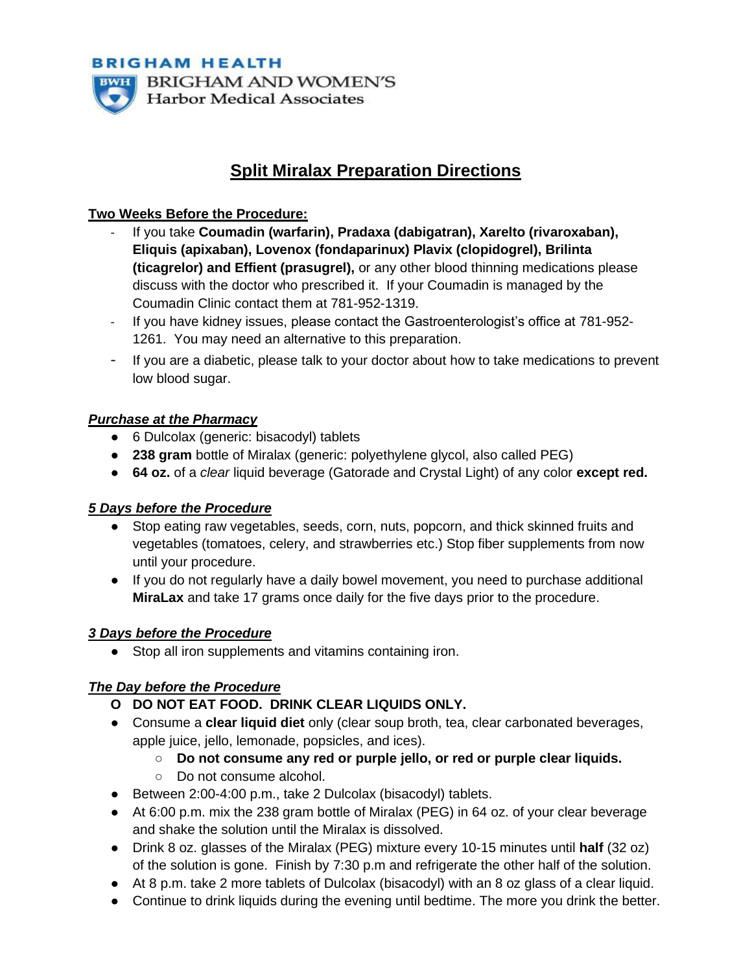

# **Split Miralax Preparation Directions**

## **Two Weeks Before the Procedure:**

- If you take **Coumadin (warfarin), Pradaxa (dabigatran), Xarelto (rivaroxaban), Eliquis (apixaban), Lovenox (fondaparinux) Plavix (clopidogrel), Brilinta (ticagrelor) and Effient (prasugrel),** or any other blood thinning medications please discuss with the doctor who prescribed it. If your Coumadin is managed by the Coumadin Clinic contact them at 781-952-1319.
- If you have kidney issues, please contact the Gastroenterologist's office at 781-952- 1261. You may need an alternative to this preparation.
- If you are a diabetic, please talk to your doctor about how to take medications to prevent low blood sugar.

## *Purchase at the Pharmacy*

- 6 Dulcolax (generic: bisacodyl) tablets
- **238 gram** bottle of Miralax (generic: polyethylene glycol, also called PEG)
- **64 oz.** of a *clear* liquid beverage (Gatorade and Crystal Light) of any color **except red.**

#### *5 Days before the Procedure*

- Stop eating raw vegetables, seeds, corn, nuts, popcorn, and thick skinned fruits and vegetables (tomatoes, celery, and strawberries etc.) Stop fiber supplements from now until your procedure.
- If you do not regularly have a daily bowel movement, you need to purchase additional **MiraLax** and take 17 grams once daily for the five days prior to the procedure.

#### *3 Days before the Procedure*

● Stop all iron supplements and vitamins containing iron.

# *The Day before the Procedure*

- **O DO NOT EAT FOOD. DRINK CLEAR LIQUIDS ONLY.**
- Consume a **clear liquid diet** only (clear soup broth, tea, clear carbonated beverages, apple juice, jello, lemonade, popsicles, and ices).
	- **Do not consume any red or purple jello, or red or purple clear liquids.**
	- Do not consume alcohol.
- Between 2:00-4:00 p.m., take 2 Dulcolax (bisacodyl) tablets.
- At 6:00 p.m. mix the 238 gram bottle of Miralax (PEG) in 64 oz. of your clear beverage and shake the solution until the Miralax is dissolved.
- Drink 8 oz. glasses of the Miralax (PEG) mixture every 10-15 minutes until **half** (32 oz) of the solution is gone. Finish by 7:30 p.m and refrigerate the other half of the solution.
- At 8 p.m. take 2 more tablets of Dulcolax (bisacodyl) with an 8 oz glass of a clear liquid.
- Continue to drink liquids during the evening until bedtime. The more you drink the better.